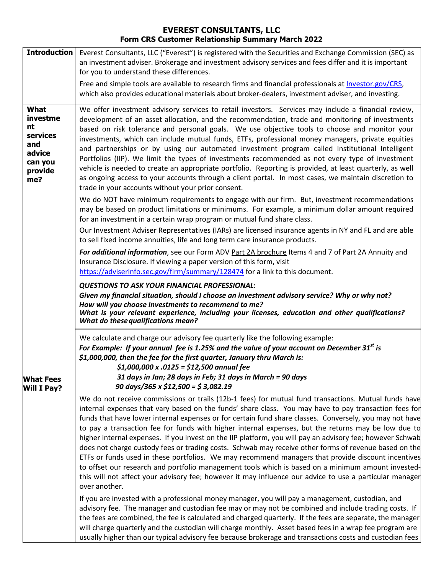## **EVEREST CONSULTANTS, LLC Form CRS Customer Relationship Summary March 2022**

| <b>Introduction</b>                                                              | Everest Consultants, LLC ("Everest") is registered with the Securities and Exchange Commission (SEC) as<br>an investment adviser. Brokerage and investment advisory services and fees differ and it is important<br>for you to understand these differences.                                                                                                                                                                                                                                                                                                                                                                                                                                                                                                                                                                                                                                                                                                                                                                         |
|----------------------------------------------------------------------------------|--------------------------------------------------------------------------------------------------------------------------------------------------------------------------------------------------------------------------------------------------------------------------------------------------------------------------------------------------------------------------------------------------------------------------------------------------------------------------------------------------------------------------------------------------------------------------------------------------------------------------------------------------------------------------------------------------------------------------------------------------------------------------------------------------------------------------------------------------------------------------------------------------------------------------------------------------------------------------------------------------------------------------------------|
|                                                                                  | Free and simple tools are available to research firms and financial professionals at Investor.gov/CRS,<br>which also provides educational materials about broker-dealers, investment adviser, and investing.                                                                                                                                                                                                                                                                                                                                                                                                                                                                                                                                                                                                                                                                                                                                                                                                                         |
| What<br>investme<br>nt<br>services<br>and<br>advice<br>can you<br>provide<br>me? | We offer investment advisory services to retail investors. Services may include a financial review,<br>development of an asset allocation, and the recommendation, trade and monitoring of investments<br>based on risk tolerance and personal goals. We use objective tools to choose and monitor your<br>investments, which can include mutual funds, ETFs, professional money managers, private equities<br>and partnerships or by using our automated investment program called Institutional Intelligent<br>Portfolios (IIP). We limit the types of investments recommended as not every type of investment<br>vehicle is needed to create an appropriate portfolio. Reporting is provided, at least quarterly, as well<br>as ongoing access to your accounts through a client portal. In most cases, we maintain discretion to<br>trade in your accounts without your prior consent.                                                                                                                                           |
|                                                                                  | We do NOT have minimum requirements to engage with our firm. But, investment recommendations<br>may be based on product limitations or minimums. For example, a minimum dollar amount required<br>for an investment in a certain wrap program or mutual fund share class.<br>Our Investment Adviser Representatives (IARs) are licensed insurance agents in NY and FL and are able                                                                                                                                                                                                                                                                                                                                                                                                                                                                                                                                                                                                                                                   |
|                                                                                  | to sell fixed income annuities, life and long term care insurance products.<br>For additional information, see our Form ADV Part 2A brochure Items 4 and 7 of Part 2A Annuity and<br>Insurance Disclosure. If viewing a paper version of this form, visit<br>https://adviserinfo.sec.gov/firm/summary/128474 for a link to this document.                                                                                                                                                                                                                                                                                                                                                                                                                                                                                                                                                                                                                                                                                            |
|                                                                                  | <b>QUESTIONS TO ASK YOUR FINANCIAL PROFESSIONAL:</b><br>Given my financial situation, should I choose an investment advisory service? Why or why not?<br>How will you choose investments to recommend to me?<br>What is your relevant experience, including your licenses, education and other qualifications?<br><b>What do these qualifications mean?</b>                                                                                                                                                                                                                                                                                                                                                                                                                                                                                                                                                                                                                                                                          |
| <b>What Fees</b>                                                                 | We calculate and charge our advisory fee quarterly like the following example:<br>For Example: If your annual fee is 1.25% and the value of your account on December 31st is<br>\$1,000,000, then the fee for the first quarter, January thru March is:<br>\$1,000,000 x .0125 = \$12,500 annual fee<br>31 days in Jan; 28 days in Feb; 31 days in March = 90 days                                                                                                                                                                                                                                                                                                                                                                                                                                                                                                                                                                                                                                                                   |
| <b>Will I Pay?</b>                                                               | 90 days/365 x \$12,500 = \$3,082.19<br>We do not receive commissions or trails (12b-1 fees) for mutual fund transactions. Mutual funds have<br>internal expenses that vary based on the funds' share class. You may have to pay transaction fees for<br>funds that have lower internal expenses or for certain fund share classes. Conversely, you may not have<br>to pay a transaction fee for funds with higher internal expenses, but the returns may be low due to<br>higher internal expenses. If you invest on the IIP platform, you will pay an advisory fee; however Schwab<br>does not charge custody fees or trading costs. Schwab may receive other forms of revenue based on the<br>ETFs or funds used in these portfolios. We may recommend managers that provide discount incentives<br>to offset our research and portfolio management tools which is based on a minimum amount invested-<br>this will not affect your advisory fee; however it may influence our advice to use a particular manager<br>over another. |
|                                                                                  | If you are invested with a professional money manager, you will pay a management, custodian, and<br>advisory fee. The manager and custodian fee may or may not be combined and include trading costs. If<br>the fees are combined, the fee is calculated and charged quarterly. If the fees are separate, the manager<br>will charge quarterly and the custodian will charge monthly. Asset based fees in a wrap fee program are<br>usually higher than our typical advisory fee because brokerage and transactions costs and custodian fees                                                                                                                                                                                                                                                                                                                                                                                                                                                                                         |